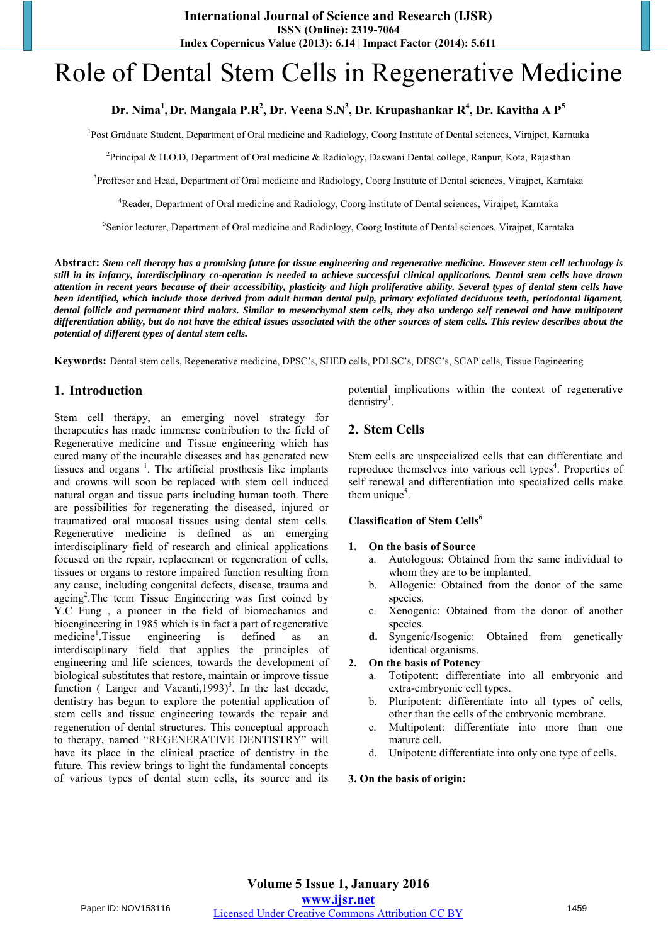# Role of Dental Stem Cells in Regenerative Medicine

# **Dr. Nima<sup>1</sup> , Dr. Mangala P.R<sup>2</sup> , Dr. Veena S.N<sup>3</sup> , Dr. Krupashankar R<sup>4</sup> , Dr. Kavitha A P<sup>5</sup>**

<sup>1</sup>Post Graduate Student, Department of Oral medicine and Radiology, Coorg Institute of Dental sciences, Virajpet, Karntaka

<sup>2</sup>Principal & H.O.D, Department of Oral medicine & Radiology, Daswani Dental college, Ranpur, Kota, Rajasthan

<sup>3</sup>Proffesor and Head, Department of Oral medicine and Radiology, Coorg Institute of Dental sciences, Virajpet, Karntaka

<sup>4</sup>Reader, Department of Oral medicine and Radiology, Coorg Institute of Dental sciences, Virajpet, Karntaka

5 Senior lecturer, Department of Oral medicine and Radiology, Coorg Institute of Dental sciences, Virajpet, Karntaka

**Abstract:** *Stem cell therapy has a promising future for tissue engineering and regenerative medicine. However stem cell technology is still in its infancy, interdisciplinary co-operation is needed to achieve successful clinical applications. Dental stem cells have drawn attention in recent years because of their accessibility, plasticity and high proliferative ability. Several types of dental stem cells have been identified, which include those derived from adult human dental pulp, primary exfoliated deciduous teeth, periodontal ligament, dental follicle and permanent third molars. Similar to mesenchymal stem cells, they also undergo self renewal and have multipotent differentiation ability, but do not have the ethical issues associated with the other sources of stem cells. This review describes about the potential of different types of dental stem cells.* 

**Keywords:** Dental stem cells, Regenerative medicine, DPSC's, SHED cells, PDLSC's, DFSC's, SCAP cells, Tissue Engineering

# **1. Introduction**

Stem cell therapy, an emerging novel strategy for therapeutics has made immense contribution to the field of Regenerative medicine and Tissue engineering which has cured many of the incurable diseases and has generated new tissues and organs<sup>1</sup>. The artificial prosthesis like implants and crowns will soon be replaced with stem cell induced natural organ and tissue parts including human tooth. There are possibilities for regenerating the diseased, injured or traumatized oral mucosal tissues using dental stem cells. Regenerative medicine is defined as an emerging interdisciplinary field of research and clinical applications focused on the repair, replacement or regeneration of cells, tissues or organs to restore impaired function resulting from any cause, including congenital defects, disease, trauma and ageing<sup>2</sup>. The term Tissue Engineering was first coined by Y.C Fung , a pioneer in the field of biomechanics and bioengineering in 1985 which is in fact a part of regenerative medicine<sup>1</sup>.Tissue engineering is defined as an interdisciplinary field that applies the principles of engineering and life sciences, towards the development of biological substitutes that restore, maintain or improve tissue function (Langer and Vacanti,1993)<sup>3</sup>. In the last decade, dentistry has begun to explore the potential application of stem cells and tissue engineering towards the repair and regeneration of dental structures. This conceptual approach to therapy, named "REGENERATIVE DENTISTRY" will have its place in the clinical practice of dentistry in the future. This review brings to light the fundamental concepts of various types of dental stem cells, its source and its

potential implications within the context of regenerative  $\det$ dentistry<sup>1</sup>.

## **2. Stem Cells**

Stem cells are unspecialized cells that can differentiate and reproduce themselves into various cell types<sup>4</sup>. Properties of self renewal and differentiation into specialized cells make them unique $5$ .

## **Classification of Stem Cells<sup>6</sup>**

#### **1. On the basis of Source**

- a. Autologous: Obtained from the same individual to whom they are to be implanted.
- b. Allogenic: Obtained from the donor of the same species.
- c. Xenogenic: Obtained from the donor of another species.
- **d.** Syngenic/Isogenic: Obtained from genetically identical organisms.

#### **2. On the basis of Potency**

- a. Totipotent: differentiate into all embryonic and extra-embryonic cell types.
- b. Pluripotent: differentiate into all types of cells, other than the cells of the embryonic membrane.
- c. Multipotent: differentiate into more than one mature cell.
- d. Unipotent: differentiate into only one type of cells.

#### **3. On the basis of origin:**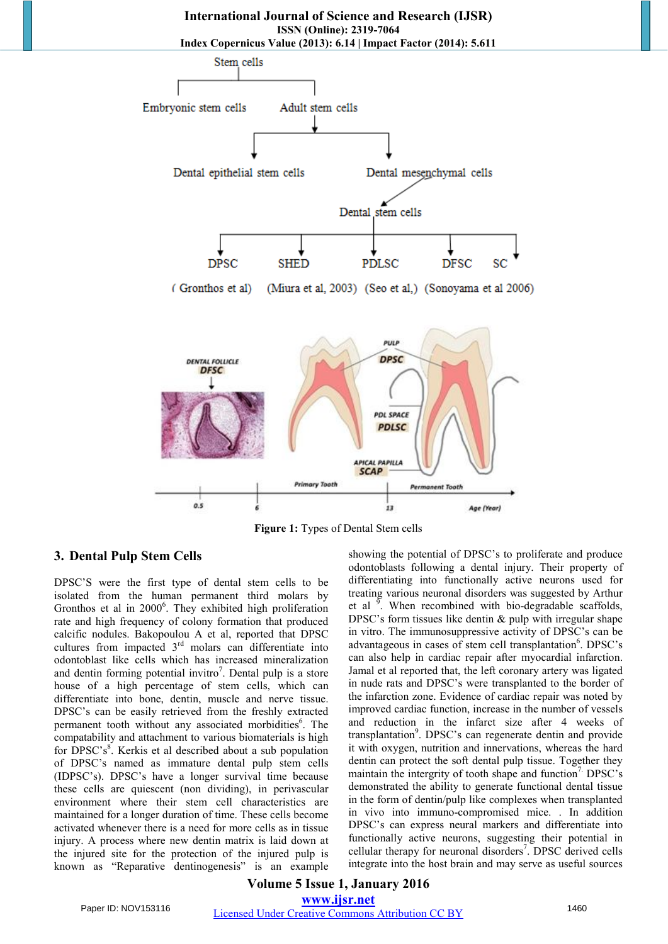



**Figure 1:** Types of Dental Stem cells

## **3. Dental Pulp Stem Cells**

DPSC'S were the first type of dental stem cells to be isolated from the human permanent third molars by Gronthos et al in 2000<sup>6</sup>. They exhibited high proliferation rate and high frequency of colony formation that produced calcific nodules. Bakopoulou A et al, reported that DPSC cultures from impacted 3<sup>rd</sup> molars can differentiate into odontoblast like cells which has increased mineralization and dentin forming potential invitro<sup>7</sup>. Dental pulp is a store house of a high percentage of stem cells, which can differentiate into bone, dentin, muscle and nerve tissue. DPSC's can be easily retrieved from the freshly extracted permanent tooth without any associated morbidities<sup>6</sup>. The compatability and attachment to various biomaterials is high for DPSC's<sup>8</sup>. Kerkis et al described about a sub population of DPSC's named as immature dental pulp stem cells (IDPSC's). DPSC's have a longer survival time because these cells are quiescent (non dividing), in perivascular environment where their stem cell characteristics are maintained for a longer duration of time. These cells become activated whenever there is a need for more cells as in tissue injury. A process where new dentin matrix is laid down at the injured site for the protection of the injured pulp is known as "Reparative dentinogenesis" is an example

showing the potential of DPSC's to proliferate and produce odontoblasts following a dental injury. Their property of differentiating into functionally active neurons used for treating various neuronal disorders was suggested by Arthur et al  $\frac{9}{2}$ . When recombined with bio-degradable scaffolds, DPSC's form tissues like dentin & pulp with irregular shape in vitro. The immunosuppressive activity of DPSC's can be advantageous in cases of stem cell transplantation<sup>6</sup>. DPSC's can also help in cardiac repair after myocardial infarction. Jamal et al reported that, the left coronary artery was ligated in nude rats and DPSC's were transplanted to the border of the infarction zone. Evidence of cardiac repair was noted by improved cardiac function, increase in the number of vessels and reduction in the infarct size after 4 weeks of transplantation<sup>9</sup>. DPSC's can regenerate dentin and provide it with oxygen, nutrition and innervations, whereas the hard dentin can protect the soft dental pulp tissue. Together they maintain the intergrity of tooth shape and function<sup>7</sup>. DPSC's demonstrated the ability to generate functional dental tissue in the form of dentin/pulp like complexes when transplanted in vivo into immuno-compromised mice. . In addition DPSC's can express neural markers and differentiate into functionally active neurons, suggesting their potential in cellular therapy for neuronal disorders<sup>7</sup>. DPSC derived cells integrate into the host brain and may serve as useful sources

# **Volume 5 Issue 1, January 2016 www.ijsr.net** Paper ID: NOV153116 Licensed Under Creative Commons Attribution CC BY 1460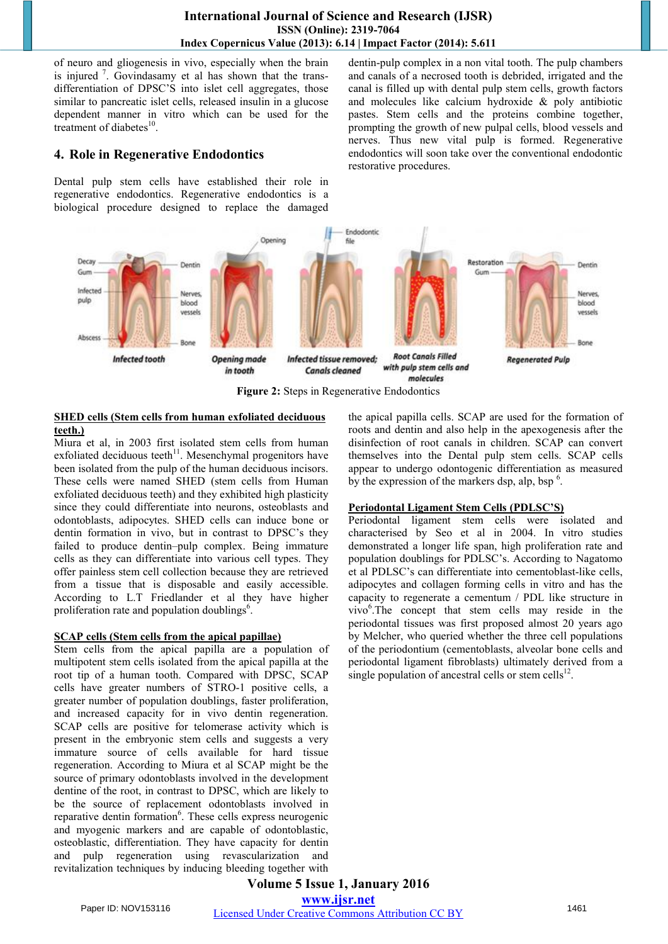of neuro and gliogenesis in vivo, especially when the brain is injured<sup>7</sup>. Govindasamy et al has shown that the transdifferentiation of DPSC'S into islet cell aggregates, those similar to pancreatic islet cells, released insulin in a glucose dependent manner in vitro which can be used for the treatment of diabetes $^{10}$ .

# **4. Role in Regenerative Endodontics**

Dental pulp stem cells have established their role in regenerative endodontics. Regenerative endodontics is a biological procedure designed to replace the damaged dentin-pulp complex in a non vital tooth. The pulp chambers and canals of a necrosed tooth is debrided, irrigated and the canal is filled up with dental pulp stem cells, growth factors and molecules like calcium hydroxide & poly antibiotic pastes. Stem cells and the proteins combine together, prompting the growth of new pulpal cells, blood vessels and nerves. Thus new vital pulp is formed. Regenerative endodontics will soon take over the conventional endodontic restorative procedures.



**Figure 2:** Steps in Regenerative Endodontics

## **SHED cells (Stem cells from human exfoliated deciduous teeth.)**

Miura et al, in 2003 first isolated stem cells from human exfoliated deciduous teeth $11$ . Mesenchymal progenitors have been isolated from the pulp of the human deciduous incisors. These cells were named SHED (stem cells from Human exfoliated deciduous teeth) and they exhibited high plasticity since they could differentiate into neurons, osteoblasts and odontoblasts, adipocytes. SHED cells can induce bone or dentin formation in vivo, but in contrast to DPSC's they failed to produce dentin–pulp complex. Being immature cells as they can differentiate into various cell types. They offer painless stem cell collection because they are retrieved from a tissue that is disposable and easily accessible. According to L.T Friedlander et al they have higher proliferation rate and population doublings<sup>6</sup>.

# **SCAP cells (Stem cells from the apical papillae)**

Stem cells from the apical papilla are a population of multipotent stem cells isolated from the apical papilla at the root tip of a human tooth. Compared with DPSC, SCAP cells have greater numbers of STRO-1 positive cells, a greater number of population doublings, faster proliferation, and increased capacity for in vivo dentin regeneration. SCAP cells are positive for telomerase activity which is present in the embryonic stem cells and suggests a very immature source of cells available for hard tissue regeneration. According to Miura et al SCAP might be the source of primary odontoblasts involved in the development dentine of the root, in contrast to DPSC, which are likely to be the source of replacement odontoblasts involved in reparative dentin formation<sup>6</sup>. These cells express neurogenic and myogenic markers and are capable of odontoblastic, osteoblastic, differentiation. They have capacity for dentin and pulp regeneration using revascularization and revitalization techniques by inducing bleeding together with

the apical papilla cells. SCAP are used for the formation of roots and dentin and also help in the apexogenesis after the disinfection of root canals in children. SCAP can convert themselves into the Dental pulp stem cells. SCAP cells appear to undergo odontogenic differentiation as measured by the expression of the markers dsp, alp, bsp  $<sup>6</sup>$ .</sup>

# **Periodontal Ligament Stem Cells (PDLSC'S)**

Periodontal ligament stem cells were isolated and characterised by Seo et al in 2004. In vitro studies demonstrated a longer life span, high proliferation rate and population doublings for PDLSC's. According to Nagatomo et al PDLSC's can differentiate into cementoblast-like cells, adipocytes and collagen forming cells in vitro and has the capacity to regenerate a cementum / PDL like structure in vivo<sup>6</sup>. The concept that stem cells may reside in the periodontal tissues was first proposed almost 20 years ago by Melcher, who queried whether the three cell populations of the periodontium (cementoblasts, alveolar bone cells and periodontal ligament fibroblasts) ultimately derived from a single population of ancestral cells or stem cells $^{12}$ .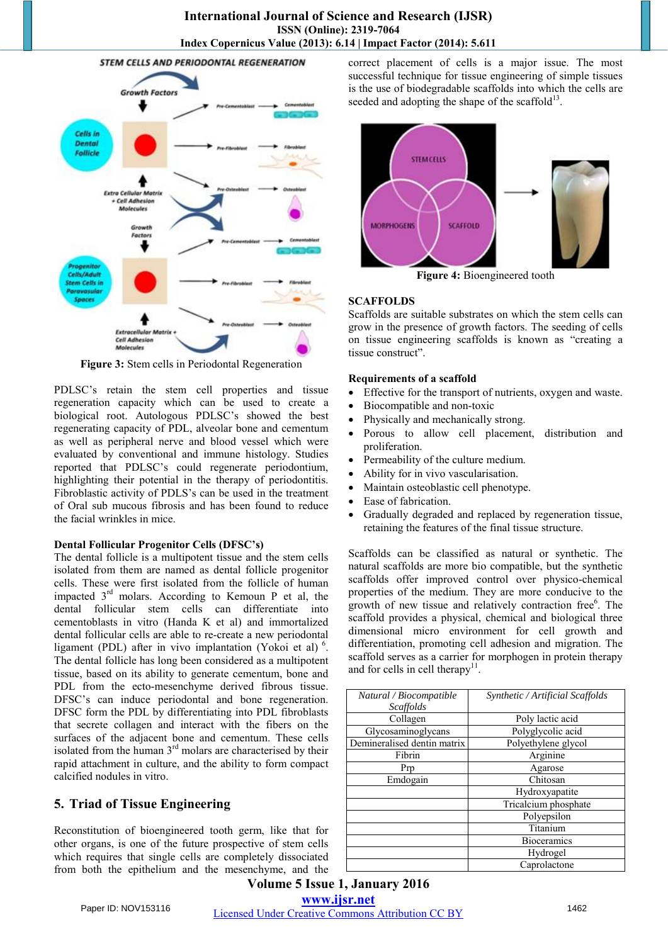

**Figure 3:** Stem cells in Periodontal Regeneration

PDLSC's retain the stem cell properties and tissue regeneration capacity which can be used to create a biological root. Autologous PDLSC's showed the best regenerating capacity of PDL, alveolar bone and cementum as well as peripheral nerve and blood vessel which were evaluated by conventional and immune histology. Studies reported that PDLSC's could regenerate periodontium, highlighting their potential in the therapy of periodontitis. Fibroblastic activity of PDLS's can be used in the treatment of Oral sub mucous fibrosis and has been found to reduce the facial wrinkles in mice.

### **Dental Follicular Progenitor Cells (DFSC's)**

The dental follicle is a multipotent tissue and the stem cells isolated from them are named as dental follicle progenitor cells. These were first isolated from the follicle of human impacted 3rd molars. According to Kemoun P et al, the dental follicular stem cells can differentiate into cementoblasts in vitro (Handa K et al) and immortalized dental follicular cells are able to re-create a new periodontal ligament (PDL) after in vivo implantation (Yokoi et al)<sup>6</sup>. The dental follicle has long been considered as a multipotent tissue, based on its ability to generate cementum, bone and PDL from the ecto-mesenchyme derived fibrous tissue. DFSC's can induce periodontal and bone regeneration. DFSC form the PDL by differentiating into PDL fibroblasts that secrete collagen and interact with the fibers on the surfaces of the adjacent bone and cementum. These cells isolated from the human  $3<sup>rd</sup>$  molars are characterised by their rapid attachment in culture, and the ability to form compact calcified nodules in vitro.

# **5. Triad of Tissue Engineering**

Reconstitution of bioengineered tooth germ, like that for other organs, is one of the future prospective of stem cells which requires that single cells are completely dissociated from both the epithelium and the mesenchyme, and the correct placement of cells is a major issue. The most successful technique for tissue engineering of simple tissues is the use of biodegradable scaffolds into which the cells are seeded and adopting the shape of the scaffold $^{13}$ .



### **SCAFFOLDS**

Scaffolds are suitable substrates on which the stem cells can grow in the presence of growth factors. The seeding of cells on tissue engineering scaffolds is known as "creating a tissue construct".

### **Requirements of a scaffold**

- Effective for the transport of nutrients, oxygen and waste.
- Biocompatible and non-toxic
- Physically and mechanically strong.
- Porous to allow cell placement, distribution and proliferation.
- Permeability of the culture medium.
- Ability for in vivo vascularisation.
- Maintain osteoblastic cell phenotype.
- Ease of fabrication.
- Gradually degraded and replaced by regeneration tissue, retaining the features of the final tissue structure.

Scaffolds can be classified as natural or synthetic. The natural scaffolds are more bio compatible, but the synthetic scaffolds offer improved control over physico-chemical properties of the medium. They are more conducive to the growth of new tissue and relatively contraction free<sup>6</sup>. The scaffold provides a physical, chemical and biological three dimensional micro environment for cell growth and differentiation, promoting cell adhesion and migration. The scaffold serves as a carrier for morphogen in protein therapy and for cells in cell therapy $11$ .

| Natural / Biocompatible     | Synthetic / Artificial Scaffolds |
|-----------------------------|----------------------------------|
| <b>Scaffolds</b>            |                                  |
| Collagen                    | Poly lactic acid                 |
| Glycosaminoglycans          | Polyglycolic acid                |
| Demineralised dentin matrix | Polyethylene glycol              |
| Fibrin                      | Arginine                         |
| Prp                         | Agarose                          |
| Emdogain                    | Chitosan                         |
|                             | Hydroxyapatite                   |
|                             | Tricalcium phosphate             |
|                             | Polyepsilon                      |
|                             | Titanium                         |
|                             | <b>Bioceramics</b>               |
|                             | Hydrogel                         |
|                             | Caprolactone                     |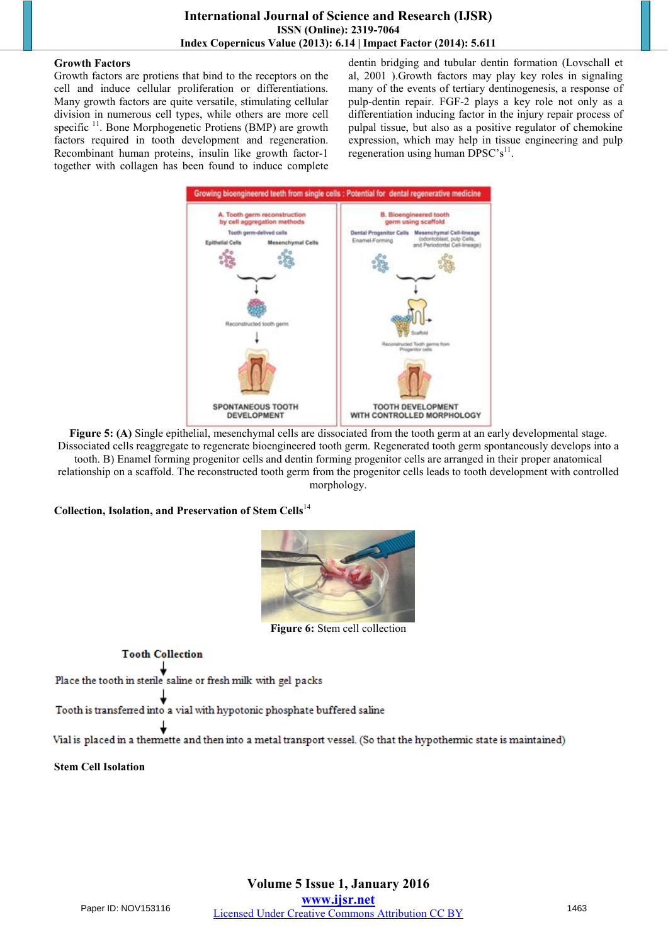## **Growth Factors**

Growth factors are protiens that bind to the receptors on the cell and induce cellular proliferation or differentiations. Many growth factors are quite versatile, stimulating cellular division in numerous cell types, while others are more cell specific<sup>11</sup>. Bone Morphogenetic Protiens (BMP) are growth factors required in tooth development and regeneration. Recombinant human proteins, insulin like growth factor-1 together with collagen has been found to induce complete

dentin bridging and tubular dentin formation (Lovschall et al, 2001 ).Growth factors may play key roles in signaling many of the events of tertiary dentinogenesis, a response of pulp-dentin repair. FGF-2 plays a key role not only as a differentiation inducing factor in the injury repair process of pulpal tissue, but also as a positive regulator of chemokine expression, which may help in tissue engineering and pulp regeneration using human DPSC's<sup>11</sup>.



**Figure 5: (A)** Single epithelial, mesenchymal cells are dissociated from the tooth germ at an early developmental stage. Dissociated cells reaggregate to regenerate bioengineered tooth germ. Regenerated tooth germ spontaneously develops into a tooth. B) Enamel forming progenitor cells and dentin forming progenitor cells are arranged in their proper anatomical relationship on a scaffold. The reconstructed tooth germ from the progenitor cells leads to tooth development with controlled morphology.

**Collection, Isolation, and Preservation of Stem Cells**<sup>14</sup>



**Figure 6:** Stem cell collection

**Tooth Collection** 

Place the tooth in sterile saline or fresh milk with gel packs

Tooth is transferred into a vial with hypotonic phosphate buffered saline

Vial is placed in a thermette and then into a metal transport vessel. (So that the hypothermic state is maintained)

**Stem Cell Isolation**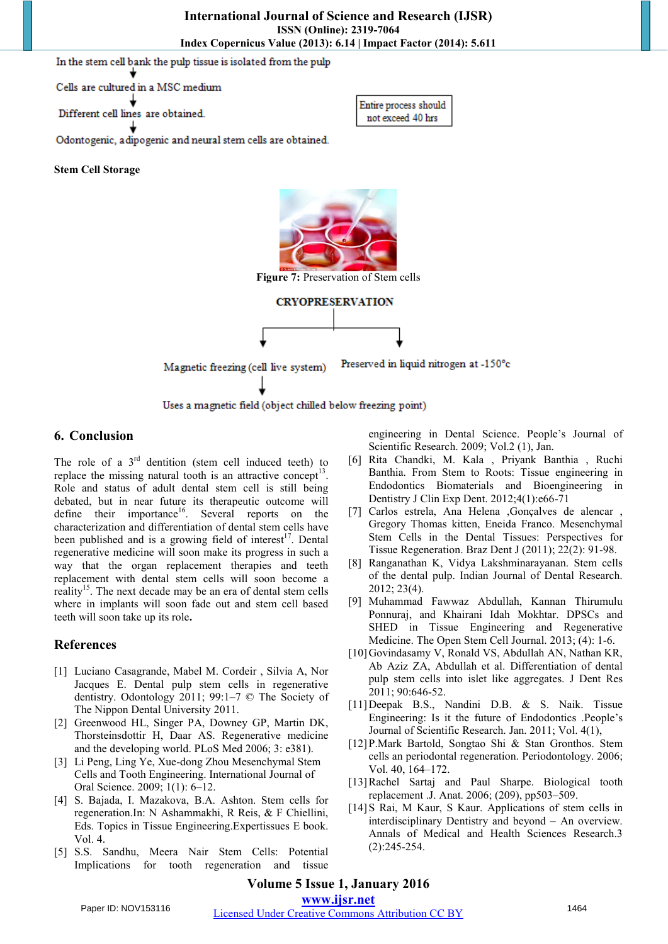In the stem cell bank the pulp tissue is isolated from the pulp

Cells are cultured in a MSC medium

Different cell lines are obtained.



Odontogenic, adipogenic and neural stem cells are obtained.

**Stem Cell Storage**



Uses a magnetic field (object chilled below freezing point)

# **6. Conclusion**

The role of a  $3<sup>rd</sup>$  dentition (stem cell induced teeth) to replace the missing natural tooth is an attractive concept<sup>13</sup>. Role and status of adult dental stem cell is still being debated, but in near future its therapeutic outcome will define their importance<sup>16</sup>. Several reports on the characterization and differentiation of dental stem cells have been published and is a growing field of interest<sup>17</sup>. Dental regenerative medicine will soon make its progress in such a way that the organ replacement therapies and teeth replacement with dental stem cells will soon become a reality<sup>15</sup>. The next decade may be an era of dental stem cells where in implants will soon fade out and stem cell based teeth will soon take up its role**.** 

# **References**

- [1] Luciano Casagrande, Mabel M. Cordeir , Silvia A, Nor Jacques E. Dental pulp stem cells in regenerative dentistry. Odontology 2011; 99:1–7 © The Society of The Nippon Dental University 2011.
- [2] Greenwood HL, Singer PA, Downey GP, Martin DK, Thorsteinsdottir H, Daar AS. Regenerative medicine and the developing world. PLoS Med 2006; 3: e381).
- [3] Li Peng, Ling Ye, Xue-dong Zhou Mesenchymal Stem Cells and Tooth Engineering. International Journal of Oral Science. 2009; 1(1): 6–12.
- [4] S. Bajada, I. Mazakova, B.A. Ashton. Stem cells for regeneration.In: N Ashammakhi, R Reis, & F Chiellini, Eds. Topics in Tissue Engineering.Expertissues E book. Vol. 4.
- [5] S.S. Sandhu, Meera Nair Stem Cells: Potential Implications for tooth regeneration and tissue

engineering in Dental Science. People's Journal of Scientific Research. 2009; Vol.2 (1), Jan.

- [6] Rita Chandki, M. Kala , Priyank Banthia , Ruchi Banthia. From Stem to Roots: Tissue engineering in Endodontics Biomaterials and Bioengineering in Dentistry J Clin Exp Dent. 2012;4(1):e66-71
- [7] Carlos estrela, Ana Helena ,Gonçalves de alencar , Gregory Thomas kitten, Eneida Franco. Mesenchymal Stem Cells in the Dental Tissues: Perspectives for Tissue Regeneration. Braz Dent J (2011); 22(2): 91-98.
- [8] Ranganathan K, Vidya Lakshminarayanan. Stem cells of the dental pulp. Indian Journal of Dental Research. 2012; 23(4).
- [9] Muhammad Fawwaz Abdullah, Kannan Thirumulu Ponnuraj, and Khairani Idah Mokhtar. DPSCs and SHED in Tissue Engineering and Regenerative Medicine. The Open Stem Cell Journal. 2013; (4): 1-6.
- [10]Govindasamy V, Ronald VS, Abdullah AN, Nathan KR, Ab Aziz ZA, Abdullah et al. Differentiation of dental pulp stem cells into islet like aggregates. J Dent Res 2011; 90:646-52.
- [11]Deepak B.S., Nandini D.B. & S. Naik. Tissue Engineering: Is it the future of Endodontics .People's Journal of Scientific Research. Jan. 2011; Vol. 4(1),
- [12]P.Mark Bartold, Songtao Shi & Stan Gronthos. Stem cells an periodontal regeneration. Periodontology. 2006; Vol. 40, 164–172.
- [13]Rachel Sartaj and Paul Sharpe. Biological tooth replacement .J. Anat. 2006; (209), pp503–509.
- [14]S Rai, M Kaur, S Kaur. Applications of stem cells in interdisciplinary Dentistry and beyond – An overview. Annals of Medical and Health Sciences Research.3 (2):245-254.